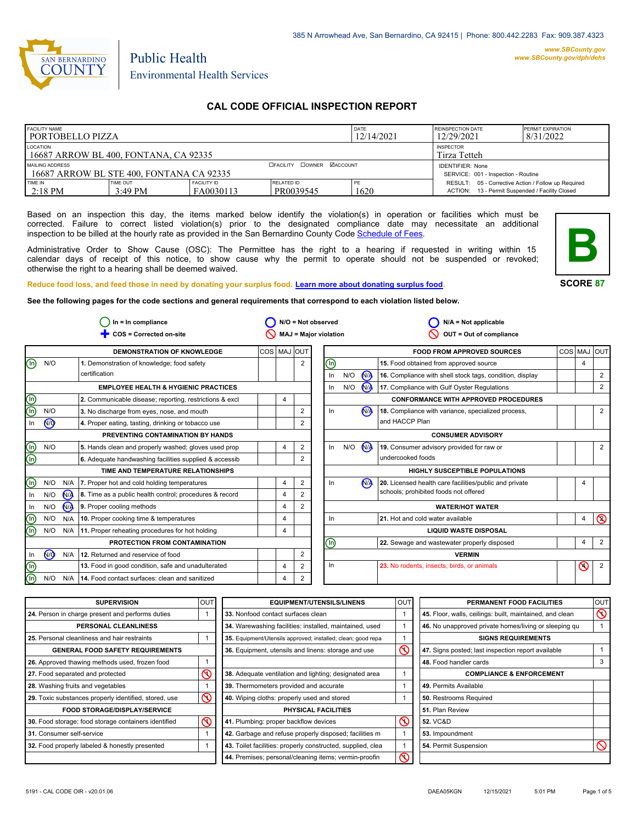

# Public Health Environmental Health Services

## **CAL CODE OFFICIAL INSPECTION REPORT**

| <b>FACILITY NAME</b><br>I PORTOBELLO PIZZA                                            |                               |                                                                |                         | DATE<br>12/14/2021 | <b>REINSPECTION DATE</b><br>12/29/2021                                                                 | <b>PERMIT EXPIRATION</b><br>8/31/2022 |  |
|---------------------------------------------------------------------------------------|-------------------------------|----------------------------------------------------------------|-------------------------|--------------------|--------------------------------------------------------------------------------------------------------|---------------------------------------|--|
| LOCATION<br><b>INSPECTOR</b><br>16687 ARROW BL 400, FONTANA, CA 92335<br>Tirza Tetteh |                               |                                                                |                         |                    |                                                                                                        |                                       |  |
| MAILING ADDRESS<br>16687 ARROW BL STE 400, FONTANA CA 92335                           |                               | <b>IDENTIFIER: None</b><br>SERVICE: 001 - Inspection - Routine |                         |                    |                                                                                                        |                                       |  |
| TIME IN<br>$2:18 \text{ PM}$                                                          | TIME OUT<br>$3:49 \text{ PM}$ | <b>FACILITY ID</b><br>FA0030113                                | RELATED ID<br>PR0039545 | PE<br>1620         | RESULT: 05 - Corrective Action / Follow up Required<br>ACTION: 13 - Permit Suspended / Facility Closed |                                       |  |

Based on an inspection this day, the items marked below identify the violation(s) in operation or facilities which must be corrected. Failure to correct listed violation(s) prior to the designated compliance date may necessitate an additional inspection to be billed at the hourly rate as provided in the San Bernardino County Co[de Schedule of Fees.](https://codelibrary.amlegal.com/codes/sanbernardino/latest/sanberncty_ca/0-0-0-122474#JD_16.0213B)

Administrative Order to Show Cause (OSC): The Permittee has the right to a hearing if requested in writing within 15 calendar days of receipt of this notice, to show cause why the permit to operate should not be suspended or revoked; otherwise the right to a hearing shall be deemed waived.



**SCORE 87**

**Reduce food loss, and feed those in need by donating your surplus f[ood. Learn more about donating surplus food.](https://wp.sbcounty.gov/dph/programs/ehs/charitable-food-service/)**

**See the following pages for the code sections and general requirements that correspond to each violation listed below.**

|                                |                |             | $In = In$ compliance                                    |                |                | N/O = Not observed           |     |                      | $N/A = Not$ applicable                                   |                         |                |
|--------------------------------|----------------|-------------|---------------------------------------------------------|----------------|----------------|------------------------------|-----|----------------------|----------------------------------------------------------|-------------------------|----------------|
|                                |                |             | COS = Corrected on-site                                 |                |                | <b>MAJ = Major violation</b> |     |                      | OUT = Out of compliance                                  |                         |                |
|                                |                |             | <b>DEMONSTRATION OF KNOWLEDGE</b>                       |                | COS MAJ OUT    |                              |     |                      | <b>FOOD FROM APPROVED SOURCES</b>                        |                         | COS MAJ OUT    |
| ⊚                              | N/O            |             | 1. Demonstration of knowledge; food safety              |                | $\overline{2}$ | ⓪                            |     |                      | 15. Food obtained from approved source                   | $\overline{\mathbf{A}}$ |                |
|                                |                |             | certification                                           |                |                | In                           | N/O | <b>N<sub>A</sub></b> | 16. Compliance with shell stock tags, condition, display |                         | $\overline{2}$ |
|                                |                |             | <b>EMPLOYEE HEALTH &amp; HYGIENIC PRACTICES</b>         |                |                | In                           | N/O | <b>NA</b>            | 17. Compliance with Gulf Oyster Regulations              |                         | $\overline{2}$ |
| $\textcircled{\scriptsize{1}}$ |                |             | 2. Communicable disease; reporting, restrictions & excl | $\overline{4}$ |                |                              |     |                      | <b>CONFORMANCE WITH APPROVED PROCEDURES</b>              |                         |                |
| $\overline{\mathbb{O}}$        | N/O            |             | 3. No discharge from eyes, nose, and mouth              |                | 2              | In                           |     | N <sub>A</sub>       | 18. Compliance with variance, specialized process,       |                         | $\overline{2}$ |
| In                             | $\sqrt{9}$     |             | 4. Proper eating, tasting, drinking or tobacco use      |                | $\overline{2}$ |                              |     |                      | and HACCP Plan                                           |                         |                |
|                                |                |             | PREVENTING CONTAMINATION BY HANDS                       |                |                |                              |     |                      | <b>CONSUMER ADVISORY</b>                                 |                         |                |
| <u>(i)</u>                     | N/O            |             | 5. Hands clean and properly washed; gloves used prop    | $\overline{4}$ | 2              | In                           | N/O | N/A                  | 19. Consumer advisory provided for raw or                |                         | $\overline{2}$ |
| $\overline{\mathbb{O}}$        |                |             | 6. Adequate handwashing facilities supplied & accessib  |                | 2              |                              |     |                      | undercooked foods                                        |                         |                |
|                                |                |             | TIME AND TEMPERATURE RELATIONSHIPS                      |                |                |                              |     |                      | <b>HIGHLY SUSCEPTIBLE POPULATIONS</b>                    |                         |                |
| O)                             | N/O            | N/A         | 7. Proper hot and cold holding temperatures             | $\overline{4}$ | 2              | In                           |     | N/A                  | 20. Licensed health care facilities/public and private   | 4                       |                |
| In                             | N/O            | $N/\lambda$ | 8. Time as a public health control; procedures & record | 4              | 2              |                              |     |                      | schools; prohibited foods not offered                    |                         |                |
| In                             | N/O            | N/A         | 9. Proper cooling methods                               | $\overline{4}$ | $\overline{2}$ |                              |     |                      | <b>WATER/HOT WATER</b>                                   |                         |                |
| $\binom{n}{k}$                 | N/O            | N/A         | 10. Proper cooking time & temperatures                  | $\overline{4}$ |                | In                           |     |                      | 21. Hot and cold water available                         | 4                       | $\circledcirc$ |
| $(\ln)$                        | N/O            | N/A         | 11. Proper reheating procedures for hot holding         | 4              |                |                              |     |                      | <b>LIQUID WASTE DISPOSAL</b>                             |                         |                |
|                                |                |             | PROTECTION FROM CONTAMINATION                           |                |                | ⋒                            |     |                      | 22. Sewage and wastewater properly disposed              | 4                       | $\overline{2}$ |
| In                             | N <sub>O</sub> | N/A         | 12. Returned and reservice of food                      |                | 2              |                              |     |                      | <b>VERMIN</b>                                            |                         |                |
| $\textcircled{\scriptsize{1}}$ |                |             | 13. Food in good condition, safe and unadulterated      | $\overline{4}$ | 2              | In                           |     |                      | 23. No rodents, insects, birds, or animals               | ல                       | $\overline{2}$ |
| $\textcircled{\scriptsize{n}}$ | N/O            | N/A         | 14. Food contact surfaces: clean and sanitized          | $\overline{4}$ | 2              |                              |     |                      |                                                          |                         |                |

| <b>SUPERVISION</b>                                    | <b>OUT</b> | <b>EQUIPMENT/UTENSILS/LINENS</b>                             | OUT                         | PERMANENT FOOD FACILITIES                                | <b>OUT</b> |
|-------------------------------------------------------|------------|--------------------------------------------------------------|-----------------------------|----------------------------------------------------------|------------|
| 24. Person in charge present and performs duties      |            | 33. Nonfood contact surfaces clean                           |                             | 45. Floor, walls, ceilings: built, maintained, and clean | $\infty$   |
| PERSONAL CLEANLINESS                                  |            | 34. Warewashing facilities: installed, maintained, used      |                             | 46. No unapproved private homes/living or sleeping qu    |            |
| 25. Personal cleanliness and hair restraints          |            | 35. Equipment/Utensils approved; installed; clean; good repa |                             | <b>SIGNS REQUIREMENTS</b>                                |            |
| <b>GENERAL FOOD SAFETY REQUIREMENTS</b>               |            | 36. Equipment, utensils and linens: storage and use          | $\overline{\circ}$          | 47. Signs posted; last inspection report available       |            |
| 26. Approved thawing methods used, frozen food        |            |                                                              |                             | 48. Food handler cards                                   | 3          |
| 27. Food separated and protected                      | R          | 38. Adequate ventilation and lighting; designated area       |                             | <b>COMPLIANCE &amp; ENFORCEMENT</b>                      |            |
| 28. Washing fruits and vegetables                     |            | 39. Thermometers provided and accurate                       |                             | 49. Permits Available                                    |            |
| 29. Toxic substances properly identified, stored, use | $\infty$   | 40. Wiping cloths: properly used and stored                  |                             | 50. Restrooms Required                                   |            |
| <b>FOOD STORAGE/DISPLAY/SERVICE</b>                   |            | PHYSICAL FACILITIES                                          |                             | 51. Plan Review                                          |            |
| 30. Food storage; food storage containers identified  | $\infty$   | 41. Plumbing: proper backflow devices                        | $\circ$                     | <b>52. VC&amp;D</b>                                      |            |
| 31. Consumer self-service                             |            | 42. Garbage and refuse properly disposed; facilities m       |                             | 53. Impoundment                                          |            |
| 32. Food properly labeled & honestly presented        |            | 43. Toilet facilities: properly constructed, supplied, clea  |                             | 54. Permit Suspension                                    | $\infty$   |
|                                                       |            | 44. Premises; personal/cleaning items; vermin-proofin        | $\mathcal{S}_{\mathcal{S}}$ |                                                          |            |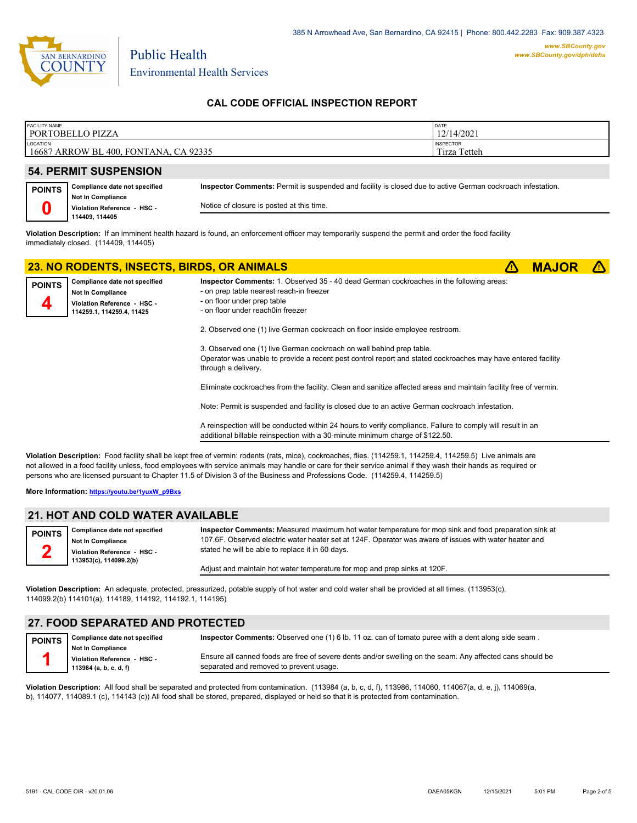

Environmental Health Services

Public Health

#### **CAL CODE OFFICIAL INSPECTION REPORT**

| <b>FACILITY NAME</b>                                                                                             | PORTOBELLO PIZZA                                                                                                      |                                                                                                                                                                                                             | DATE<br>12/14/2021               |              |  |
|------------------------------------------------------------------------------------------------------------------|-----------------------------------------------------------------------------------------------------------------------|-------------------------------------------------------------------------------------------------------------------------------------------------------------------------------------------------------------|----------------------------------|--------------|--|
| LOCATION                                                                                                         |                                                                                                                       |                                                                                                                                                                                                             | <b>INSPECTOR</b><br>Tirza Tetteh |              |  |
|                                                                                                                  | 16687 ARROW BL 400, FONTANA, CA 92335                                                                                 |                                                                                                                                                                                                             |                                  |              |  |
|                                                                                                                  | <b>54. PERMIT SUSPENSION</b>                                                                                          |                                                                                                                                                                                                             |                                  |              |  |
| <b>POINTS</b>                                                                                                    | Compliance date not specified<br>Not In Compliance                                                                    | Inspector Comments: Permit is suspended and facility is closed due to active German cockroach infestation.                                                                                                  |                                  |              |  |
|                                                                                                                  | Violation Reference - HSC -<br>114409, 114405                                                                         | Notice of closure is posted at this time.                                                                                                                                                                   |                                  |              |  |
|                                                                                                                  | immediately closed. (114409, 114405)                                                                                  | Violation Description: If an imminent health hazard is found, an enforcement officer may temporarily suspend the permit and order the food facility                                                         |                                  |              |  |
|                                                                                                                  | 23. NO RODENTS, INSECTS, BIRDS, OR ANIMALS                                                                            |                                                                                                                                                                                                             | ΛN                               | <b>MAJOR</b> |  |
| <b>POINTS</b>                                                                                                    | Compliance date not specified<br><b>Not In Compliance</b><br>Violation Reference - HSC -<br>114259.1, 114259.4, 11425 | Inspector Comments: 1. Observed 35 - 40 dead German cockroaches in the following areas:<br>- on prep table nearest reach-in freezer<br>- on floor under prep table<br>- on floor under reach0in freezer     |                                  |              |  |
|                                                                                                                  |                                                                                                                       | 2. Observed one (1) live German cockroach on floor inside employee restroom.                                                                                                                                |                                  |              |  |
|                                                                                                                  |                                                                                                                       | 3. Observed one (1) live German cockroach on wall behind prep table.<br>Operator was unable to provide a recent pest control report and stated cockroaches may have entered facility<br>through a delivery. |                                  |              |  |
| Eliminate cockroaches from the facility. Clean and sanitize affected areas and maintain facility free of vermin. |                                                                                                                       |                                                                                                                                                                                                             |                                  |              |  |
|                                                                                                                  |                                                                                                                       | Note: Permit is suspended and facility is closed due to an active German cockroach infestation.                                                                                                             |                                  |              |  |
|                                                                                                                  |                                                                                                                       | A reinspection will be conducted within 24 hours to verify compliance. Failure to comply will result in an<br>additional billable reinspection with a 30-minute minimum charge of \$122.50.                 |                                  |              |  |

**Violation Description:** Food facility shall be kept free of vermin: rodents (rats, mice), cockroaches, flies. (114259.1, 114259.4, 114259.5) Live animals are not allowed in a food facility unless, food employees with service animals may handle or care for their service animal if they wash their hands as required or persons who are licensed pursuant to Chapter 11.5 of Division 3 of the Business and Professions Code. (114259.4, 114259.5)

**More Information: [https://youtu.be/1yuxW\\_p9Bxs](https://youtu.be/1yuxW_p9Bxs)**

#### **21. HOT AND COLD WATER AVAILABLE**

| <b>POINTS</b> | Compliance date not specified<br><b>Not In Compliance</b><br>Violation Reference - HSC -<br>113953(c), 114099.2(b) | Inspector Comments: Measured maximum hot water temperature for mop sink and food preparation sink at<br>107.6F. Observed electric water heater set at 124F. Operator was aware of issues with water heater and<br>stated he will be able to replace it in 60 days. |
|---------------|--------------------------------------------------------------------------------------------------------------------|--------------------------------------------------------------------------------------------------------------------------------------------------------------------------------------------------------------------------------------------------------------------|
|               |                                                                                                                    | Adjust and maintain hot water temperature for mop and prep sinks at 120F.                                                                                                                                                                                          |

**Violation Description:** An adequate, protected, pressurized, potable supply of hot water and cold water shall be provided at all times. (113953(c), 114099.2(b) 114101(a), 114189, 114192, 114192.1, 114195)

### **27. FOOD SEPARATED AND PROTECTED**

| <b>POINTS</b> | <b>Compliance date not specified</b> | Inspector Comments: Observed one (1) 6 lb. 11 oz. can of tomato puree with a dent along side seam.        |
|---------------|--------------------------------------|-----------------------------------------------------------------------------------------------------------|
|               | <b>Not In Compliance</b>             |                                                                                                           |
|               | Violation Reference - HSC -          | Ensure all canned foods are free of severe dents and/or swelling on the seam. Any affected cans should be |
|               | 113984 (a, b, c, d, f)               | separated and removed to prevent usage.                                                                   |

**Violation Description:** All food shall be separated and protected from contamination. (113984 (a, b, c, d, f), 113986, 114060, 114067(a, d, e, j), 114069(a, b), 114077, 114089.1 (c), 114143 (c)) All food shall be stored, prepared, displayed or held so that it is protected from contamination.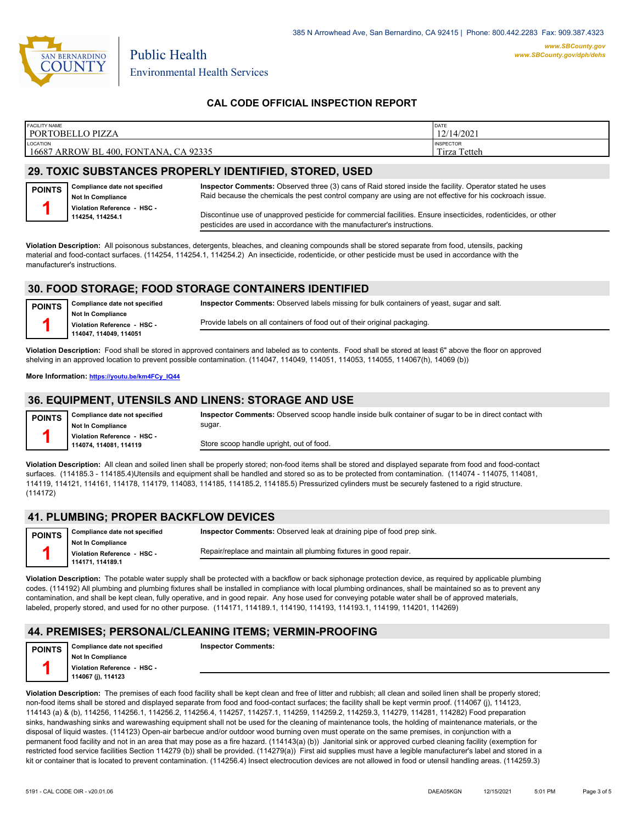

*www.SBCounty.gov [www.SBCounty.gov/dph/dehs](http://www.sbcounty.gov/dph/ehsportal)*

# **CAL CODE OFFICIAL INSPECTION REPORT**

| <b>FACILITY NAME</b>       | DATE             |
|----------------------------|------------------|
| <b>PORTOBELLO PIZZA</b>    | 12/14/2021       |
| LOCATION                   | <b>INSPECTOR</b> |
| 16687                      | Tetteh           |
| ' ARROW BL 400, FONTANA, C | $\sim$ $\sim$    |
| CA 92335                   | Tirza            |

# **29. TOXIC SUBSTANCES PROPERLY IDENTIFIED, STORED, USED**

Public Health

**Compliance date not specified Not In Compliance Violation Reference - HSC - 114254, 114254.1 POINTS 1**

**Inspector Comments:** Observed three (3) cans of Raid stored inside the facility. Operator stated he uses Raid because the chemicals the pest control company are using are not effective for his cockroach issue.

Discontinue use of unapproved pesticide for commercial facilities. Ensure insecticides, rodenticides, or other pesticides are used in accordance with the manufacturer's instructions.

**Violation Description:** All poisonous substances, detergents, bleaches, and cleaning compounds shall be stored separate from food, utensils, packing material and food-contact surfaces. (114254, 114254.1, 114254.2) An insecticide, rodenticide, or other pesticide must be used in accordance with the manufacturer's instructions.

### **30. FOOD STORAGE; FOOD STORAGE CONTAINERS IDENTIFIED**

**Compliance date not specified Not In Compliance POINTS 1**

**Inspector Comments:** Observed labels missing for bulk containers of yeast, sugar and salt.

**Violation Reference - HSC - 114047, 114049, 114051**

Provide labels on all containers of food out of their original packaging.

**Violation Description:** Food shall be stored in approved containers and labeled as to contents. Food shall be stored at least 6" above the floor on approved shelving in an approved location to prevent possible contamination. (114047, 114049, 114051, 114053, 114055, 114067(h), 14069 (b))

**More Information: [https://youtu.be/km4FCy\\_IQ44](https://youtu.be/km4FCy_IQ44)**

# **36. EQUIPMENT, UTENSILS AND LINENS: STORAGE AND USE**

**Compliance date not specified Not In Compliance Violation Reference - HSC - 114074, 114081, 114119 POINTS 1**

**Inspector Comments:** Observed scoop handle inside bulk container of sugar to be in direct contact with sugar.

Store scoop handle upright, out of food.

**Violation Description:** All clean and soiled linen shall be properly stored; non-food items shall be stored and displayed separate from food and food-contact surfaces. (114185.3 - 114185.4)Utensils and equipment shall be handled and stored so as to be protected from contamination. (114074 - 114075, 114081, 114119, 114121, 114161, 114178, 114179, 114083, 114185, 114185.2, 114185.5) Pressurized cylinders must be securely fastened to a rigid structure. (114172)

#### **41. PLUMBING; PROPER BACKFLOW DEVICES**

| <b>POINTS</b> | Compliance date not specified | <b>Inspector Comments:</b> Observed leak at draining pipe of food prep sink. |
|---------------|-------------------------------|------------------------------------------------------------------------------|
|               | <b>Not In Compliance</b>      |                                                                              |
|               | Violation Reference - HSC -   | Repair/replace and maintain all plumbing fixtures in good repair.            |
|               | 114171.114189.1               |                                                                              |

**Violation Description:** The potable water supply shall be protected with a backflow or back siphonage protection device, as required by applicable plumbing codes. (114192) All plumbing and plumbing fixtures shall be installed in compliance with local plumbing ordinances, shall be maintained so as to prevent any contamination, and shall be kept clean, fully operative, and in good repair. Any hose used for conveying potable water shall be of approved materials, labeled, properly stored, and used for no other purpose. (114171, 114189.1, 114190, 114193, 114193.1, 114199, 114201, 114269)

# **44. PREMISES; PERSONAL/CLEANING ITEMS; VERMIN-PROOFING**

**Compliance date not specified POINTS**

**1**

**Inspector Comments:** 

**Not In Compliance Violation Reference - HSC - 114067 (j), 114123**

**Violation Description:** The premises of each food facility shall be kept clean and free of litter and rubbish; all clean and soiled linen shall be properly stored; non-food items shall be stored and displayed separate from food and food-contact surfaces; the facility shall be kept vermin proof. (114067 (j), 114123, 114143 (a) & (b), 114256, 114256.1, 114256.2, 114256.4, 114257, 114257.1, 114259, 114259.2, 114259.3, 114279, 114281, 114282) Food preparation sinks, handwashing sinks and warewashing equipment shall not be used for the cleaning of maintenance tools, the holding of maintenance materials, or the disposal of liquid wastes. (114123) Open-air barbecue and/or outdoor wood burning oven must operate on the same premises, in conjunction with a permanent food facility and not in an area that may pose as a fire hazard. (114143(a) (b)) Janitorial sink or approved curbed cleaning facility (exemption for restricted food service facilities Section 114279 (b)) shall be provided. (114279(a)) First aid supplies must have a legible manufacturer's label and stored in a kit or container that is located to prevent contamination. (114256.4) Insect electrocution devices are not allowed in food or utensil handling areas. (114259.3)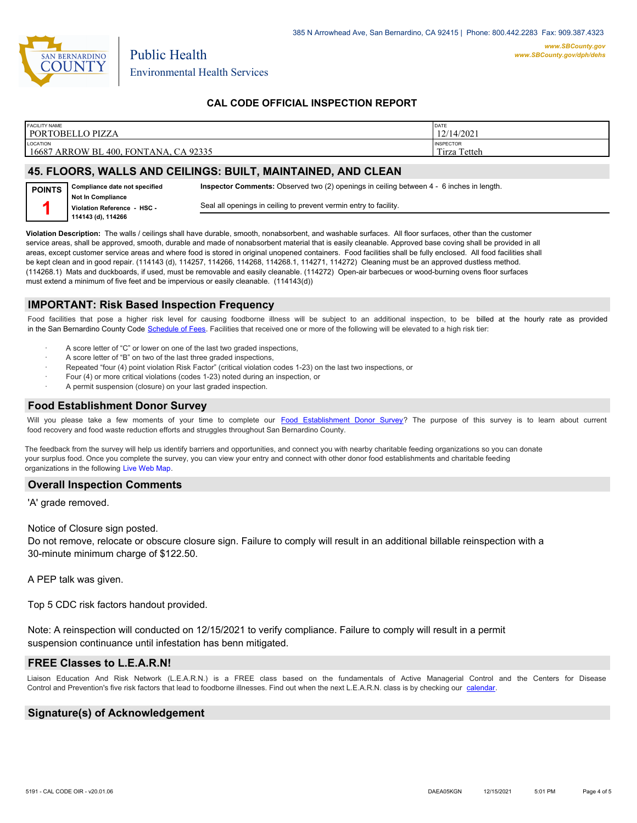

Environmental Health Services

Public Health

# **CAL CODE OFFICIAL INSPECTION REPORT**

| <b>FACILITY NAME</b>                                      | <b>IDATE</b>                        |
|-----------------------------------------------------------|-------------------------------------|
| PORTOBELLO PIZZA                                          | 12/14/2021                          |
| LOCATION<br>16687 ARROW BL 400,<br>CA 92335<br>, FONTANA, | <b>INSPECTOR</b><br>Tetteh<br>Tirza |

#### **45. FLOORS, WALLS AND CEILINGS: BUILT, MAINTAINED, AND CLEAN**

| <b>POINTS</b> | Compliance date not specified | <b>Inspector Comments:</b> Observed two (2) openings in ceiling between 4 - 6 inches in length. |
|---------------|-------------------------------|-------------------------------------------------------------------------------------------------|
|               | <b>Not In Compliance</b>      |                                                                                                 |
|               | Violation Reference - HSC -   | Seal all openings in ceiling to prevent vermin entry to facility.                               |
|               | 114143 (d), 114266            |                                                                                                 |

**Violation Description:** The walls / ceilings shall have durable, smooth, nonabsorbent, and washable surfaces. All floor surfaces, other than the customer service areas, shall be approved, smooth, durable and made of nonabsorbent material that is easily cleanable. Approved base coving shall be provided in all areas, except customer service areas and where food is stored in original unopened containers. Food facilities shall be fully enclosed. All food facilities shall be kept clean and in good repair. (114143 (d), 114257, 114266, 114268, 114268.1, 114271, 114272) Cleaning must be an approved dustless method. (114268.1) Mats and duckboards, if used, must be removable and easily cleanable. (114272) Open-air barbecues or wood-burning ovens floor surfaces must extend a minimum of five feet and be impervious or easily cleanable. (114143(d))

#### **IMPORTANT: Risk Based Inspection Frequency**

Food facilities that pose a higher risk level for causing foodborne illness will be subject to an additional inspection, to be billed at the hourly rate as provided in the San Bernardino Count[y Code Schedule of Fees. Facilitie](https://codelibrary.amlegal.com/codes/sanbernardino/latest/sanberncty_ca/0-0-0-122474#JD_16.0213B)s that received one or more of the following will be elevated to a high risk tier:

- A score letter of "C" or lower on one of the last two graded inspections,
- A score letter of "B" on two of the last three graded inspections,
- Repeated "four (4) point violation Risk Factor" (critical violation codes 1-23) on the last two inspections, or
- · Four (4) or more critical violations (codes 1-23) noted during an inspection, or
- A permit suspension (closure) on your last graded inspection.

# **Food Establishment Donor Survey**

Will you please take a few moments of your time to complete our **Food Establishment Donor Survey**? The purpose of this survey is to learn about current food recovery and food waste reduction efforts and struggles throughout San Bernardino County.

The feedback from the survey will help us identify barriers and opportunities, and connect you with nearby charitable feeding organizations so you can donate your surplus food. Once you complete the survey, you can view your entry and connect with other donor food establishments and charitable feeding organizations in the fol[lowing Live Web Map.](https://arcg.is/WvjGb)

#### **Overall Inspection Comments**

'A' grade removed.

#### Notice of Closure sign posted.

Do not remove, relocate or obscure closure sign. Failure to comply will result in an additional billable reinspection with a 30-minute minimum charge of \$122.50.

A PEP talk was given.

Top 5 CDC risk factors handout provided.

Note: A reinspection will conducted on 12/15/2021 to verify compliance. Failure to comply will result in a permit suspension continuance until infestation has benn mitigated.

### **FREE Classes to L.E.A.R.N!**

Liaison Education And Risk Network (L.E.A.R.N.) is a FREE class based on the fundamentals of Active Managerial Control and the Centers for Disease Control and Prevention's five risk factors that lead to foodborne illnesses. Find out when the next L.E.A.R.N. class is by checking our [calendar.](http://wp.sbcounty.gov/dph/events/)

#### **Signature(s) of Acknowledgement**